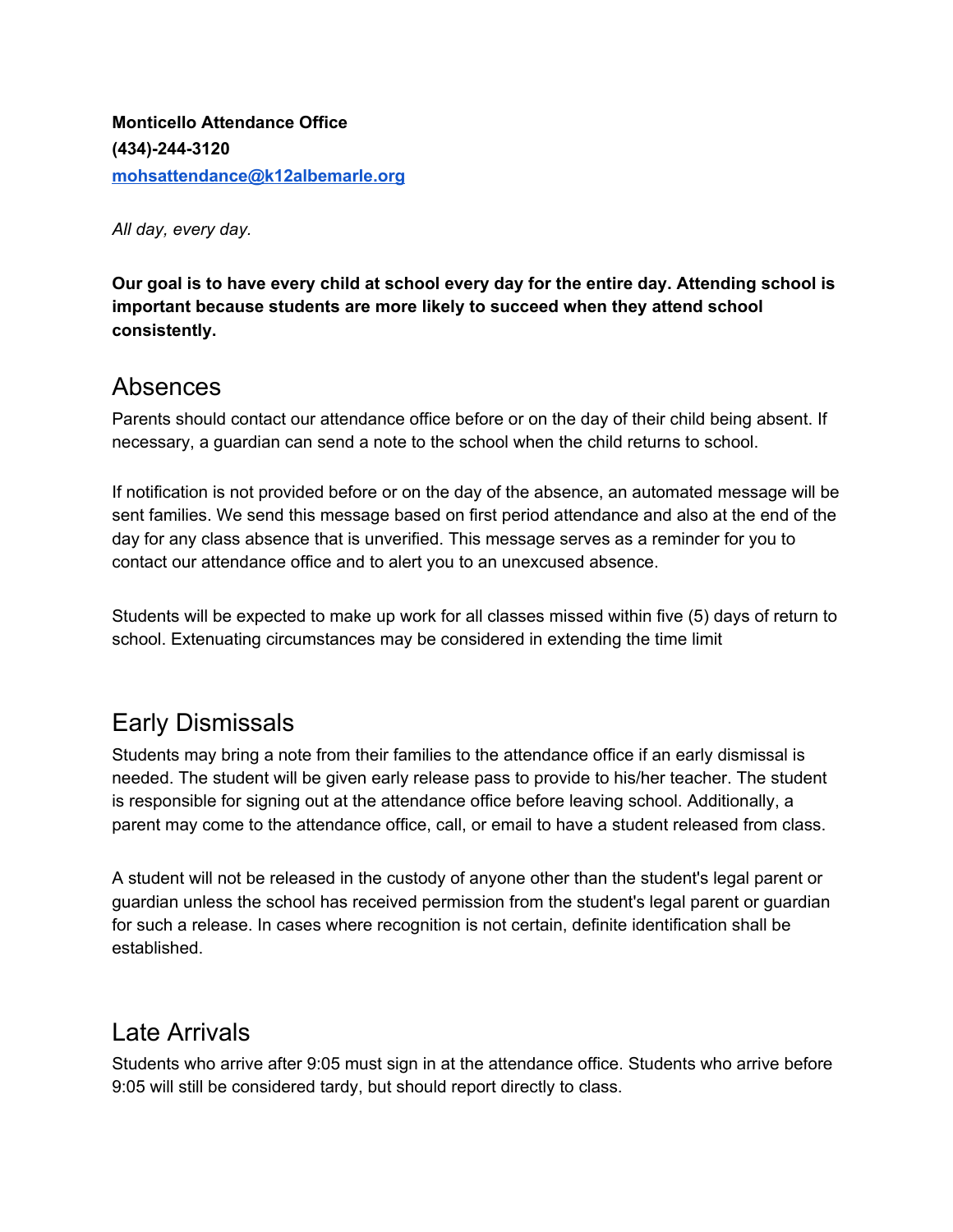**Monticello Attendance Office (434)-244-3120 [mohsattendance@k12albemarle.org](mailto:mohsattendance@k12albemarle.org)**

*All day, every day.*

**Our goal is to have every child at school every day for the entire day. Attending school is important because students are more likely to succeed when they attend school consistently.**

### Absences

Parents should contact our attendance office before or on the day of their child being absent. If necessary, a guardian can send a note to the school when the child returns to school.

If notification is not provided before or on the day of the absence, an automated message will be sent families. We send this message based on first period attendance and also at the end of the day for any class absence that is unverified. This message serves as a reminder for you to contact our attendance office and to alert you to an unexcused absence.

Students will be expected to make up work for all classes missed within five (5) days of return to school. Extenuating circumstances may be considered in extending the time limit

## Early Dismissals

Students may bring a note from their families to the attendance office if an early dismissal is needed. The student will be given early release pass to provide to his/her teacher. The student is responsible for signing out at the attendance office before leaving school. Additionally, a parent may come to the attendance office, call, or email to have a student released from class.

A student will not be released in the custody of anyone other than the student's legal parent or guardian unless the school has received permission from the student's legal parent or guardian for such a release. In cases where recognition is not certain, definite identification shall be established.

## Late Arrivals

Students who arrive after 9:05 must sign in at the attendance office. Students who arrive before 9:05 will still be considered tardy, but should report directly to class.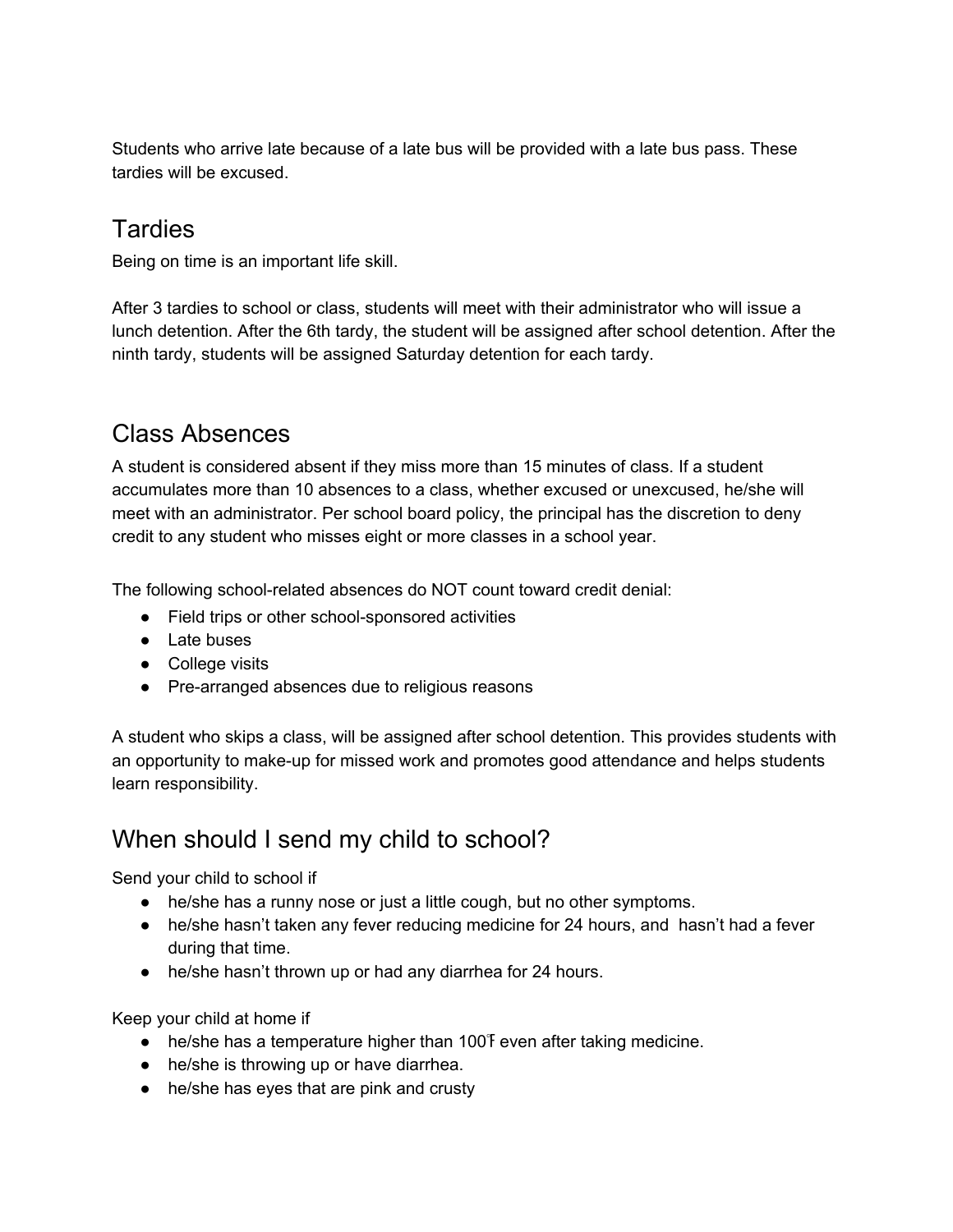Students who arrive late because of a late bus will be provided with a late bus pass. These tardies will be excused.

# **Tardies**

Being on time is an important life skill.

After 3 tardies to school or class, students will meet with their administrator who will issue a lunch detention. After the 6th tardy, the student will be assigned after school detention. After the ninth tardy, students will be assigned Saturday detention for each tardy.

# Class Absences

A student is considered absent if they miss more than 15 minutes of class. If a student accumulates more than 10 absences to a class, whether excused or unexcused, he/she will meet with an administrator. Per school board policy, the principal has the discretion to deny credit to any student who misses eight or more classes in a school year.

The following school-related absences do NOT count toward credit denial:

- Field trips or other school-sponsored activities
- Late buses
- College visits
- Pre-arranged absences due to religious reasons

A student who skips a class, will be assigned after school detention. This provides students with an opportunity to make-up for missed work and promotes good attendance and helps students learn responsibility.

# When should I send my child to school?

Send your child to school if

- he/she has a runny nose or just a little cough, but no other symptoms.
- he/she hasn't taken any fever reducing medicine for 24 hours, and hasn't had a fever during that time.
- he/she hasn't thrown up or had any diarrhea for 24 hours.

Keep your child at home if

- he/she has a temperature higher than 100 F even after taking medicine.
- he/she is throwing up or have diarrhea.
- he/she has eyes that are pink and crusty